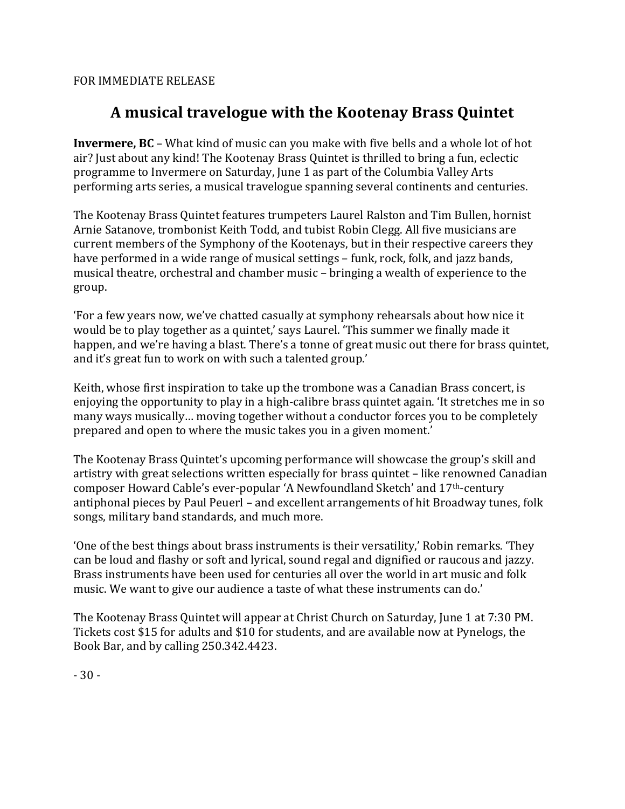FOR IMMEDIATE RELEASE

## **A musical travelogue with the Kootenay Brass Quintet**

**Invermere, BC** – What kind of music can you make with five bells and a whole lot of hot air? Just about any kind! The Kootenay Brass Quintet is thrilled to bring a fun, eclectic programme to Invermere on Saturday, June 1 as part of the Columbia Valley Arts performing arts series, a musical travelogue spanning several continents and centuries.

The Kootenay Brass Quintet features trumpeters Laurel Ralston and Tim Bullen, hornist Arnie Satanove, trombonist Keith Todd, and tubist Robin Clegg. All five musicians are current members of the Symphony of the Kootenays, but in their respective careers they have performed in a wide range of musical settings – funk, rock, folk, and jazz bands, musical theatre, orchestral and chamber music – bringing a wealth of experience to the group. 

'For a few years now, we've chatted casually at symphony rehearsals about how nice it would be to play together as a quintet,' says Laurel. 'This summer we finally made it happen, and we're having a blast. There's a tonne of great music out there for brass quintet, and it's great fun to work on with such a talented group.'

Keith, whose first inspiration to take up the trombone was a Canadian Brass concert, is enjoying the opportunity to play in a high-calibre brass quintet again. The stretches me in so many ways musically... moving together without a conductor forces you to be completely prepared and open to where the music takes you in a given moment.'

The Kootenay Brass Quintet's upcoming performance will showcase the group's skill and artistry with great selections written especially for brass quintet – like renowned Canadian composer Howard Cable's ever-popular 'A Newfoundland Sketch' and 17<sup>th</sup>-century antiphonal pieces by Paul Peuerl – and excellent arrangements of hit Broadway tunes, folk songs, military band standards, and much more.

'One of the best things about brass instruments is their versatility,' Robin remarks. 'They can be loud and flashy or soft and lyrical, sound regal and dignified or raucous and jazzy. Brass instruments have been used for centuries all over the world in art music and folk music. We want to give our audience a taste of what these instruments can do.'

The Kootenay Brass Quintet will appear at Christ Church on Saturday, June 1 at 7:30 PM. Tickets cost \$15 for adults and \$10 for students, and are available now at Pynelogs, the Book Bar, and by calling 250.342.4423.

 $-30-$